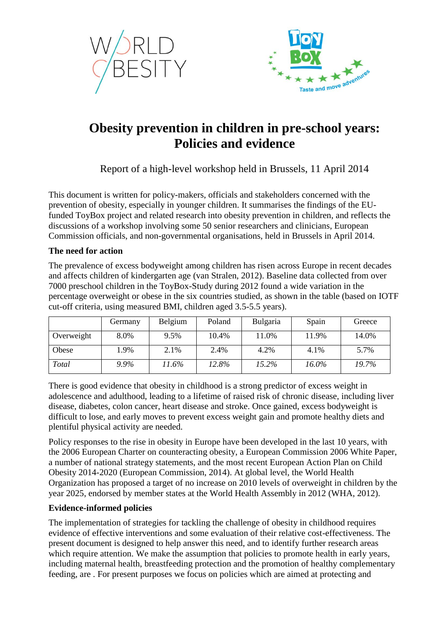



# **Obesity prevention in children in pre-school years: Policies and evidence**

Report of a high-level workshop held in Brussels, 11 April 2014

This document is written for policy-makers, officials and stakeholders concerned with the prevention of obesity, especially in younger children. It summarises the findings of the EUfunded ToyBox project and related research into obesity prevention in children, and reflects the discussions of a workshop involving some 50 senior researchers and clinicians, European Commission officials, and non-governmental organisations, held in Brussels in April 2014.

## **The need for action**

The prevalence of excess bodyweight among children has risen across Europe in recent decades and affects children of kindergarten age (van Stralen, 2012). Baseline data collected from over 7000 preschool children in the ToyBox-Study during 2012 found a wide variation in the percentage overweight or obese in the six countries studied, as shown in the table (based on IOTF cut-off criteria, using measured BMI, children aged 3.5-5.5 years).

|            | Germany | Belgium | Poland | Bulgaria | Spain | Greece |
|------------|---------|---------|--------|----------|-------|--------|
| Overweight | 8.0%    | 9.5%    | 10.4%  | 1.0%     | 11.9% | 14.0%  |
| Obese      | l.9%    | 2.1%    | 2.4%   | 4.2%     | 4.1%  | 5.7%   |
| Total      | 9.9%    | 11.6%   | 12.8%  | 15.2%    | 16.0% | 19.7%  |

There is good evidence that obesity in childhood is a strong predictor of excess weight in adolescence and adulthood, leading to a lifetime of raised risk of chronic disease, including liver disease, diabetes, colon cancer, heart disease and stroke. Once gained, excess bodyweight is difficult to lose, and early moves to prevent excess weight gain and promote healthy diets and plentiful physical activity are needed.

Policy responses to the rise in obesity in Europe have been developed in the last 10 years, with the 2006 European Charter on counteracting obesity, a European Commission 2006 White Paper, a number of national strategy statements, and the most recent European Action Plan on Child Obesity 2014-2020 (European Commission, 2014). At global level, the World Health Organization has proposed a target of no increase on 2010 levels of overweight in children by the year 2025, endorsed by member states at the World Health Assembly in 2012 (WHA, 2012).

## **Evidence-informed policies**

The implementation of strategies for tackling the challenge of obesity in childhood requires evidence of effective interventions and some evaluation of their relative cost-effectiveness. The present document is designed to help answer this need, and to identify further research areas which require attention. We make the assumption that policies to promote health in early years, including maternal health, breastfeeding protection and the promotion of healthy complementary feeding, are . For present purposes we focus on policies which are aimed at protecting and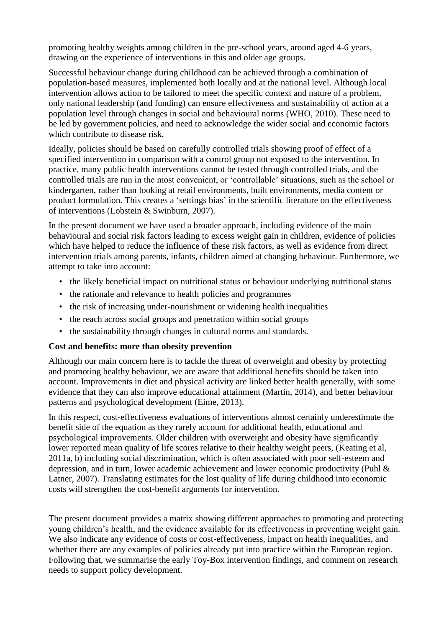promoting healthy weights among children in the pre-school years, around aged 4-6 years, drawing on the experience of interventions in this and older age groups.

Successful behaviour change during childhood can be achieved through a combination of population-based measures, implemented both locally and at the national level. Although local intervention allows action to be tailored to meet the specific context and nature of a problem, only national leadership (and funding) can ensure effectiveness and sustainability of action at a population level through changes in social and behavioural norms (WHO, 2010). These need to be led by government policies, and need to acknowledge the wider social and economic factors which contribute to disease risk.

Ideally, policies should be based on carefully controlled trials showing proof of effect of a specified intervention in comparison with a control group not exposed to the intervention. In practice, many public health interventions cannot be tested through controlled trials, and the controlled trials are run in the most convenient, or 'controllable' situations, such as the school or kindergarten, rather than looking at retail environments, built environments, media content or product formulation. This creates a 'settings bias' in the scientific literature on the effectiveness of interventions (Lobstein & Swinburn, 2007).

In the present document we have used a broader approach, including evidence of the main behavioural and social risk factors leading to excess weight gain in children, evidence of policies which have helped to reduce the influence of these risk factors, as well as evidence from direct intervention trials among parents, infants, children aimed at changing behaviour. Furthermore, we attempt to take into account:

- the likely beneficial impact on nutritional status or behaviour underlying nutritional status
- the rationale and relevance to health policies and programmes
- the risk of increasing under-nourishment or widening health inequalities
- the reach across social groups and penetration within social groups
- the sustainability through changes in cultural norms and standards.

## **Cost and benefits: more than obesity prevention**

Although our main concern here is to tackle the threat of overweight and obesity by protecting and promoting healthy behaviour, we are aware that additional benefits should be taken into account. Improvements in diet and physical activity are linked better health generally, with some evidence that they can also improve educational attainment (Martin, 2014), and better behaviour patterns and psychological development (Eime, 2013).

In this respect, cost-effectiveness evaluations of interventions almost certainly underestimate the benefit side of the equation as they rarely account for additional health, educational and psychological improvements. Older children with overweight and obesity have significantly lower reported mean quality of life scores relative to their healthy weight peers, (Keating et al, 2011a, b) including social discrimination, which is often associated with poor self-esteem and depression, and in turn, lower academic achievement and lower economic productivity (Puhl & Latner, 2007). Translating estimates for the lost quality of life during childhood into economic costs will strengthen the cost-benefit arguments for intervention.

The present document provides a matrix showing different approaches to promoting and protecting young children's health, and the evidence available for its effectiveness in preventing weight gain. We also indicate any evidence of costs or cost-effectiveness, impact on health inequalities, and whether there are any examples of policies already put into practice within the European region. Following that, we summarise the early Toy-Box intervention findings, and comment on research needs to support policy development.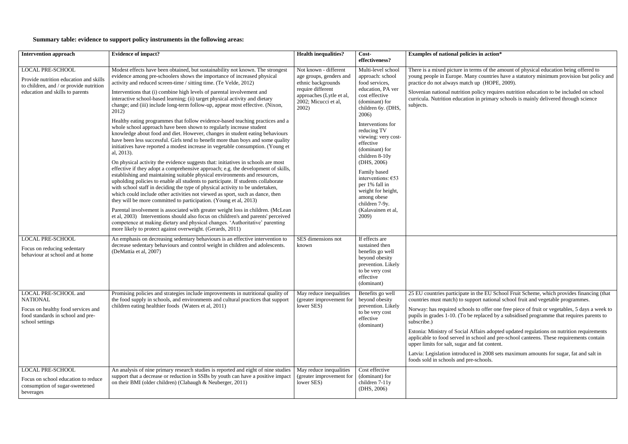### **Summary table: evidence to support policy instruments in the following areas:**

| <b>Intervention approach</b>                                                                                                                    | <b>Evidence of impact?</b>                                                                                                                                                                                                                                                                                                                                                                                                                                                                                                                                                                                                                                                                                                                                                                                                                                                                                                                                                                                                                                                                                                                                                                                                                                                                                                                                                                                                                                                                                                                                                                                                                                                                                                                                                                                                | <b>Health inequalities?</b>                                                                                                                              | Cost-<br>effectiveness?                                                                                                                                                                                                                                                                                                                                                                                                     | <b>Examples of national policie</b>                                                                                                                                                                                                                                                                                        |
|-------------------------------------------------------------------------------------------------------------------------------------------------|---------------------------------------------------------------------------------------------------------------------------------------------------------------------------------------------------------------------------------------------------------------------------------------------------------------------------------------------------------------------------------------------------------------------------------------------------------------------------------------------------------------------------------------------------------------------------------------------------------------------------------------------------------------------------------------------------------------------------------------------------------------------------------------------------------------------------------------------------------------------------------------------------------------------------------------------------------------------------------------------------------------------------------------------------------------------------------------------------------------------------------------------------------------------------------------------------------------------------------------------------------------------------------------------------------------------------------------------------------------------------------------------------------------------------------------------------------------------------------------------------------------------------------------------------------------------------------------------------------------------------------------------------------------------------------------------------------------------------------------------------------------------------------------------------------------------------|----------------------------------------------------------------------------------------------------------------------------------------------------------|-----------------------------------------------------------------------------------------------------------------------------------------------------------------------------------------------------------------------------------------------------------------------------------------------------------------------------------------------------------------------------------------------------------------------------|----------------------------------------------------------------------------------------------------------------------------------------------------------------------------------------------------------------------------------------------------------------------------------------------------------------------------|
| <b>LOCAL PRE-SCHOOL</b><br>Provide nutrition education and skills<br>to children, and / or provide nutrition<br>education and skills to parents | Modest effects have been obtained, but sustainability not known. The strongest<br>evidence among pre-schoolers shows the importance of increased physical<br>activity and reduced screen-time / sitting time. (Te Velde, 2012)<br>Interventions that (i) combine high levels of parental involvement and<br>interactive school-based learning; (ii) target physical activity and dietary<br>change; and (iii) include long-term follow-up, appear most effective. (Nixon,<br>2012)<br>Healthy eating programmes that follow evidence-based teaching practices and a<br>whole school approach have been shown to regularly increase student<br>knowledge about food and diet. However, changes in student eating behaviours<br>have been less successful. Girls tend to benefit more than boys and some quality<br>initiatives have reported a modest increase in vegetable consumption. (Young et<br>al, 2013).<br>On physical activity the evidence suggests that: initiatives in schools are most<br>effective if they adopt a comprehensive approach; e.g. the development of skills,<br>establishing and maintaining suitable physical environments and resources,<br>upholding policies to enable all students to participate. If students collaborate<br>with school staff in deciding the type of physical activity to be undertaken,<br>which could include other activities not viewed as sport, such as dance, then<br>they will be more committed to participation. (Young et al, 2013)<br>Parental involvement is associated with greater weight loss in children. (McLean<br>et al, 2003) Interventions should also focus on children's and parents' perceived<br>competence at making dietary and physical changes. 'Authoritative' parenting<br>more likely to protect against overweight. (Gerards, 2011) | Not known - different<br>age groups, genders and<br>ethnic backgrounds<br>require different<br>approaches (Lytle et al,<br>2002; Micucci et al,<br>2002) | Multi-level school<br>approach: school<br>food services,<br>education, PA ver<br>cost effective<br>(dominant) for<br>children 6y. (DHS,<br>2006)<br>Interventions for<br>reducing TV<br>viewing: very cost-<br>effective<br>(dominant) for<br>children 8-10y<br>(DHS, 2006)<br>Family based<br>interventions: $653$<br>per 1% fall in<br>weight for height,<br>among obese<br>children 7-9y.<br>(Kalavainen et al,<br>2009) | There is a mixed picture in ter<br>young people in Europe. Man<br>practice do not always match<br>Slovenian national nutrition p<br>curricula. Nutrition education<br>subjects.                                                                                                                                            |
| <b>LOCAL PRE-SCHOOL</b><br>Focus on reducing sedentary<br>behaviour at school and at home                                                       | An emphasis on decreasing sedentary behaviours is an effective intervention to<br>decrease sedentary behaviours and control weight in children and adolescents.<br>(DeMattia et al, 2007)                                                                                                                                                                                                                                                                                                                                                                                                                                                                                                                                                                                                                                                                                                                                                                                                                                                                                                                                                                                                                                                                                                                                                                                                                                                                                                                                                                                                                                                                                                                                                                                                                                 | SES dimensions not<br>known                                                                                                                              | If effects are<br>sustained then<br>benefits go well<br>beyond obesity<br>prevention. Likely<br>to be very cost<br>effective<br>(dominant)                                                                                                                                                                                                                                                                                  |                                                                                                                                                                                                                                                                                                                            |
| LOCAL PRE-SCHOOL and<br><b>NATIONAL</b><br>Focus on healthy food services and<br>food standards in school and pre-<br>school settings           | Promising policies and strategies include improvements in nutritional quality of<br>the food supply in schools, and environments and cultural practices that support<br>children eating healthier foods (Waters et al, 2011)                                                                                                                                                                                                                                                                                                                                                                                                                                                                                                                                                                                                                                                                                                                                                                                                                                                                                                                                                                                                                                                                                                                                                                                                                                                                                                                                                                                                                                                                                                                                                                                              | May reduce inequalities<br>(greater improvement for<br>lower SES)                                                                                        | Benefits go well<br>beyond obesity<br>prevention. Likely<br>to be very cost<br>effective<br>(dominant)                                                                                                                                                                                                                                                                                                                      | 25 EU countries participate in<br>countries must match) to supp<br>Norway: has required schools<br>pupils in grades 1-10. (To be<br>subscribe.)<br>Estonia: Ministry of Social A<br>applicable to food served in s<br>upper limits for salt, sugar and<br>Latvia: Legislation introduced<br>foods sold in schools and pre- |
| <b>LOCAL PRE-SCHOOL</b><br>Focus on school education to reduce<br>consumption of sugar-sweetened<br>beverages                                   | An analysis of nine primary research studies is reported and eight of nine studies<br>support that a decrease or reduction in SSBs by youth can have a positive impact<br>on their BMI (older children) (Clabaugh & Neuberger, 2011)                                                                                                                                                                                                                                                                                                                                                                                                                                                                                                                                                                                                                                                                                                                                                                                                                                                                                                                                                                                                                                                                                                                                                                                                                                                                                                                                                                                                                                                                                                                                                                                      | May reduce inequalities<br>(greater improvement for<br>lower SES)                                                                                        | Cost effective<br>(dominant) for<br>children 7-11y<br>(DHS, 2006)                                                                                                                                                                                                                                                                                                                                                           |                                                                                                                                                                                                                                                                                                                            |

#### **Examples in action\***

erms of the amount of physical education being offered to ny countries have a statutory minimum provision but policy and n up (HOPE, 2009).

policy requires nutrition education to be included on school in primary schools is mainly delivered through science

n the EU School Fruit Scheme, which provides financing (that port national school fruit and vegetable programmes.

to offer one free piece of fruit or vegetables, 5 days a week to exteed by a subsidised programme that requires parents to

Affairs adopted updated regulations on nutrition requirements school and pre-school canteens. These requirements contain nd fat content.

ed in 2008 sets maximum amounts for sugar, fat and salt in schools.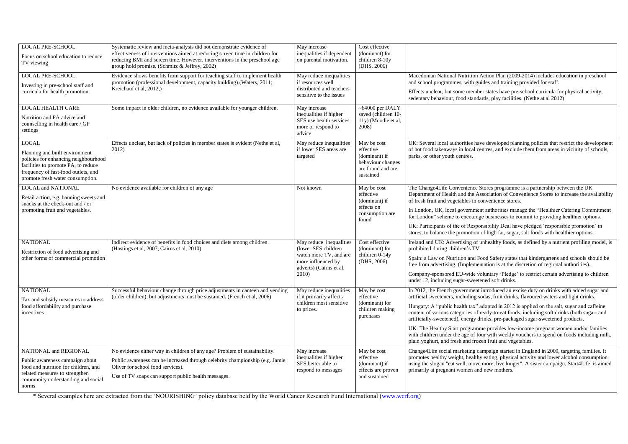| <b>LOCAL PRE-SCHOOL</b><br>Focus on school education to reduce<br>TV viewing                                                                                                                             | Systematic review and meta-analysis did not demonstrate evidence of<br>effectiveness of interventions aimed at reducing screen time in children for<br>reducing BMI and screen time. However, interventions in the preschool age<br>group hold promise. (Schmitz & Jeffrey, 2002) | May increase<br>inequalities if dependent<br>on parental motivation.                                                                | Cost effective<br>(dominant) for<br>children 8-10y<br>(DHS, 2006)                                |                                                                                                                                                                                                                                                                                            |
|----------------------------------------------------------------------------------------------------------------------------------------------------------------------------------------------------------|-----------------------------------------------------------------------------------------------------------------------------------------------------------------------------------------------------------------------------------------------------------------------------------|-------------------------------------------------------------------------------------------------------------------------------------|--------------------------------------------------------------------------------------------------|--------------------------------------------------------------------------------------------------------------------------------------------------------------------------------------------------------------------------------------------------------------------------------------------|
| <b>LOCAL PRE-SCHOOL</b><br>Investing in pre-school staff and<br>curricula for health promotion                                                                                                           | Evidence shows benefits from support for teaching staff to implement health<br>promotion (professional development, capacity building) (Waters, 2011;<br>Kreichauf et al, 2012,)                                                                                                  | May reduce inequalities<br>if resources well<br>distributed and teachers<br>sensitive to the issues                                 |                                                                                                  | <b>Macedonian National Nutrition</b><br>and school programmes, with go<br>Effects unclear, but some memb<br>sedentary behaviour, food stand                                                                                                                                                |
| <b>LOCAL HEALTH CARE</b><br>Nutrition and PA advice and<br>counselling in health care / GP<br>settings                                                                                                   | Some impact in older children, no evidence available for younger children.                                                                                                                                                                                                        | May increase<br>inequalities if higher<br>SES use health services<br>more or respond to<br>advice                                   | $\sim$ £4000 per DALY<br>saved (children 10-<br>11y) (Moodie et al,<br>2008)                     |                                                                                                                                                                                                                                                                                            |
| <b>LOCAL</b><br>Planning and built environment<br>policies for enhancing neighbourhood<br>facilities to promote PA, to reduce<br>frequency of fast-food outlets, and<br>promote fresh water consumption. | Effects unclear, but lack of policies in member states is evident (Nethe et al,<br>2012)                                                                                                                                                                                          | May reduce inequalities<br>if lower SES areas are<br>targeted                                                                       | May be cost<br>effective<br>(dominant) if<br>behaviour changes<br>are found and are<br>sustained | UK: Several local authorities ha<br>of hot food takeaways in local c<br>parks, or other youth centres.                                                                                                                                                                                     |
| <b>LOCAL and NATIONAL</b><br>Retail action, e.g. banning sweets and<br>snacks at the check-out and / or<br>promoting fruit and vegetables.                                                               | No evidence available for children of any age                                                                                                                                                                                                                                     | Not known                                                                                                                           | May be cost<br>effective<br>(dominant) if<br>effects on<br>consumption are<br>found              | The Change4Life Convenience<br>Department of Health and the A<br>of fresh fruit and vegetables in<br>In London, UK, local governme<br>for London" scheme to encoura<br>UK: Participants of the of Responent<br>stores, to balance the promotion                                            |
| <b>NATIONAL</b><br>Restriction of food advertising and<br>other forms of commercial promotion                                                                                                            | Indirect evidence of benefits in food choices and diets among children.<br>(Hastings et al, 2007, Cairns et al, 2010)                                                                                                                                                             | May reduce inequalities<br>(lower SES children)<br>watch more TV, and are<br>more influenced by<br>adverts) (Cairns et al,<br>2010) | Cost effective<br>(dominant) for<br>children 0-14y<br>(DHS, 2006)                                | Ireland and UK: Advertising of<br>prohibited during children's TV<br>Spain: a Law on Nutrition and F<br>free from advertising. (Impleme<br>Company-sponsored EU-wide v<br>under 12, including sugar-sweet                                                                                  |
| <b>NATIONAL</b><br>Tax and subsidy measures to address<br>food affordability and purchase<br>incentives                                                                                                  | Successful behaviour change through price adjustments in canteen and vending<br>(older children), but adjustments must be sustained. (French et al, 2006)                                                                                                                         | May reduce inequalities<br>if it primarily affects<br>children most sensitive<br>to prices.                                         | May be cost<br>effective<br>(dominant) for<br>children making<br>purchases                       | In 2012, the French government<br>artificial sweeteners, including s<br>Hungary: A "public health tax"<br>content of various categories of<br>artificially-sweetened), energy o<br>UK: The Healthy Start program<br>with children under the age of fo<br>plain yoghurt, and fresh and fro. |
| NATIONAL and REGIONAL<br>Public awareness campaign about<br>food and nutrition for children, and<br>related measures to strengthen<br>community understanding and social<br>norms                        | No evidence either way in children of any age? Problem of sustainability.<br>Public awareness can be increased through celebrity championship (e.g. Jamie<br>Oliver for school food services).<br>Use of TV soaps can support public health messages.                             | May increase<br>inequalities if higher<br>SES better able to<br>respond to messages                                                 | May be cost<br>effective<br>(dominant) if<br>effects are proven<br>and sustained                 | Change4Life social marketing c<br>promotes healthy weight, health<br>using the slogan "eat well, move<br>primarily at pregnant women an                                                                                                                                                    |

\* Several examples here are extracted from the 'NOURISHING' policy database held by the World Cancer Research Fund International [\(www.wcrf.org\)](http://www.wcrf.org/)

on Action Plan (2009-2014) includes education in preschool a guides and training provided for staff.

effects invested were-school curricula for physical activity, andards, play facilities. (Nethe at al 2012)

have developed planning policies that restrict the development al centres, and exclude them from areas in vicinity of schools,

The Change Conventions Conventional Conventional Conventional Convention Convention Convention Convention Convention Convention Convention Convention Convention Convention Convention Convention Convention Convention Conven e Association of Convenience Stores to increase the availability in convenience stores.

In London, understanding and authorities manage the "Healthier Catering Commitment gram urage businesses to commit to providing healthier options.

esponsibility Deal have pledged 'responsible promotion' in ion of high fat, sugar, salt foods with healthier options.

of unhealthy foods, as defined by a nutrient profiling model, is

Ind Food Safety states that kindergartens and schools should be free free from a at the discretion of regional authorities).

le voluntary 'Pledge' to restrict certain advertising to children veetened soft drinks.

lent introduced an excise duty on drinks with added sugar and artificial sweeteners, including sodas, fruit drinks, flavoured waters and light drinks.

 $H(x^{\prime\prime})$  adopted in 2012 is applied on the salt, sugar and caffeine of ready-to-eat foods, including soft drinks (both sugar- and gy drinks, pre-packaged sugar-sweetened products.

amme provides low-income pregnant women and/or families of four with weekly vouchers to spend on foods including milk, frozen fruit and vegetables.

g campaign started in England in 2009, targeting families. It althy eating, physical activity and lower alcohol consumption ove more, live longer". A sister campaign, Start4Life, is aimed and new mothers.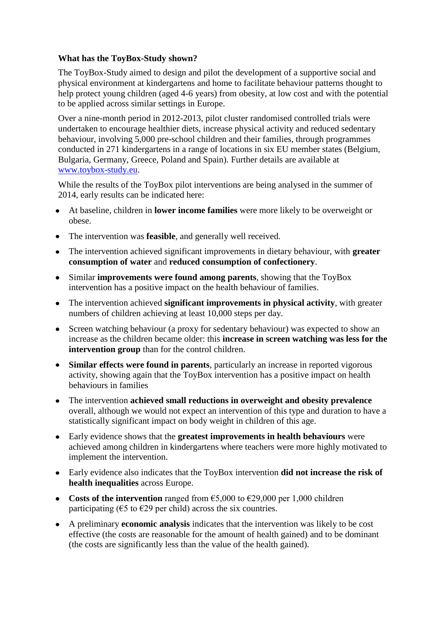## **What has the ToyBox-Study shown?**

The ToyBox-Study aimed to design and pilot the development of a supportive social and physical environment at kindergartens and home to facilitate behaviour patterns thought to help protect young children (aged 4-6 years) from obesity, at low cost and with the potential to be applied across similar settings in Europe.

Over a nine-month period in 2012-2013, pilot cluster randomised controlled trials were undertaken to encourage healthier diets, increase physical activity and reduced sedentary behaviour, involving 5,000 pre-school children and their families, through programmes conducted in 271 kindergartens in a range of locations in six EU member states (Belgium, Bulgaria, Germany, Greece, Poland and Spain). Further details are available at [www.toybox-study.eu.](http://www.toybox-study.eu/)

While the results of the ToyBox pilot interventions are being analysed in the summer of 2014, early results can be indicated here:

- At baseline, children in **lower income families** were more likely to be overweight or obese.
- The intervention was **feasible**, and generally well received.
- The intervention achieved significant improvements in dietary behaviour, with **greater**   $\bullet$ **consumption of water** and **reduced consumption of confectionery**.
- Similar **improvements were found among parents**, showing that the ToyBox  $\bullet$ intervention has a positive impact on the health behaviour of families.
- The intervention achieved **significant improvements in physical activity**, with greater  $\bullet$ numbers of children achieving at least 10,000 steps per day.
- Screen watching behaviour (a proxy for sedentary behaviour) was expected to show an increase as the children became older: this **increase in screen watching was less for the intervention group** than for the control children.
- **Similar effects were found in parents**, particularly an increase in reported vigorous  $\bullet$ activity, showing again that the ToyBox intervention has a positive impact on health behaviours in families
- The intervention **achieved small reductions in overweight and obesity prevalence**   $\bullet$ overall, although we would not expect an intervention of this type and duration to have a statistically significant impact on body weight in children of this age.
- Early evidence shows that the **greatest improvements in health behaviours** were  $\bullet$ achieved among children in kindergartens where teachers were more highly motivated to implement the intervention.
- Early evidence also indicates that the ToyBox intervention **did not increase the risk of health inequalities** across Europe.
- **Costs of the intervention** ranged from €5,000 to €29,000 per 1,000 children participating ( $\epsilon$ 5 to  $\epsilon$ 29 per child) across the six countries.
- A preliminary **economic analysis** indicates that the intervention was likely to be cost effective (the costs are reasonable for the amount of health gained) and to be dominant (the costs are significantly less than the value of the health gained).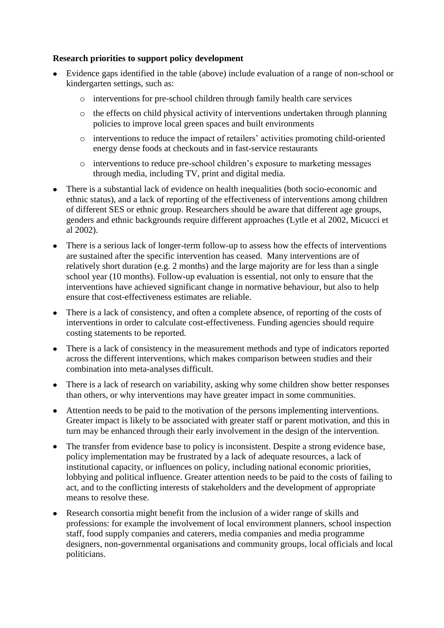## **Research priorities to support policy development**

- Evidence gaps identified in the table (above) include evaluation of a range of non-school or kindergarten settings, such as:
	- o interventions for pre-school children through family health care services
	- o the effects on child physical activity of interventions undertaken through planning policies to improve local green spaces and built environments
	- o interventions to reduce the impact of retailers' activities promoting child-oriented energy dense foods at checkouts and in fast-service restaurants
	- o interventions to reduce pre-school children's exposure to marketing messages through media, including TV, print and digital media.
- There is a substantial lack of evidence on health inequalities (both socio-economic and ethnic status), and a lack of reporting of the effectiveness of interventions among children of different SES or ethnic group. Researchers should be aware that different age groups, genders and ethnic backgrounds require different approaches (Lytle et al 2002, Micucci et al 2002).
- There is a serious lack of longer-term follow-up to assess how the effects of interventions  $\bullet$ are sustained after the specific intervention has ceased. Many interventions are of relatively short duration (e.g. 2 months) and the large majority are for less than a single school year (10 months). Follow-up evaluation is essential, not only to ensure that the interventions have achieved significant change in normative behaviour, but also to help ensure that cost-effectiveness estimates are reliable.
- There is a lack of consistency, and often a complete absence, of reporting of the costs of interventions in order to calculate cost-effectiveness. Funding agencies should require costing statements to be reported.
- There is a lack of consistency in the measurement methods and type of indicators reported across the different interventions, which makes comparison between studies and their combination into meta-analyses difficult.
- There is a lack of research on variability, asking why some children show better responses  $\bullet$ than others, or why interventions may have greater impact in some communities.
- Attention needs to be paid to the motivation of the persons implementing interventions. Greater impact is likely to be associated with greater staff or parent motivation, and this in turn may be enhanced through their early involvement in the design of the intervention.
- The transfer from evidence base to policy is inconsistent. Despite a strong evidence base,  $\bullet$ policy implementation may be frustrated by a lack of adequate resources, a lack of institutional capacity, or influences on policy, including national economic priorities, lobbying and political influence. Greater attention needs to be paid to the costs of failing to act, and to the conflicting interests of stakeholders and the development of appropriate means to resolve these.
- Research consortia might benefit from the inclusion of a wider range of skills and professions: for example the involvement of local environment planners, school inspection staff, food supply companies and caterers, media companies and media programme designers, non-governmental organisations and community groups, local officials and local politicians.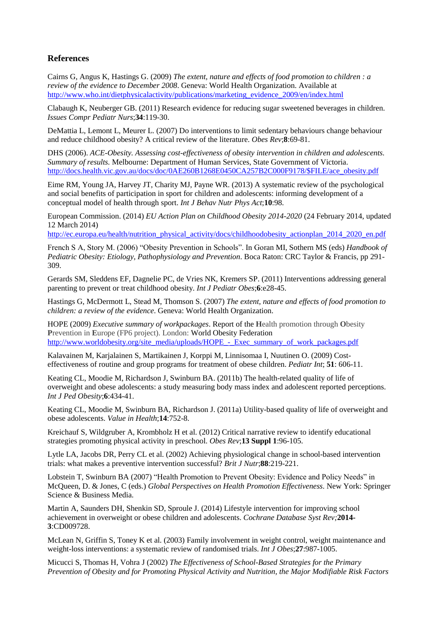## **References**

Cairns G, Angus K, Hastings G. (2009) *The extent, nature and effects of food promotion to children : a review of the evidence to December 2008*. Geneva: World Health Organization. Available at [http://www.who.int/dietphysicalactivity/publications/marketing\\_evidence\\_2009/en/index.html](http://www.who.int/dietphysicalactivity/publications/marketing_evidence_2009/en/index.html)

Clabaugh K, Neuberger GB. (2011) Research evidence for reducing sugar sweetened beverages in children. *Issues Compr Pediatr Nurs*;**34**:119-30.

DeMattia L, Lemont L, Meurer L. (2007) Do interventions to limit sedentary behaviours change behaviour and reduce childhood obesity? A critical review of the literature. *Obes Rev*;**8**:69-81.

DHS (2006). *ACE-Obesity. Assessing cost-effectiveness of obesity intervention in children and adolescents. Summary of results.* Melbourne: Department of Human Services, State Government of Victoria. [http://docs.health.vic.gov.au/docs/doc/0AE260B1268E0450CA257B2C000F9178/\\$FILE/ace\\_obesity.pdf](http://docs.health.vic.gov.au/docs/doc/0AE260B1268E0450CA257B2C000F9178/$FILE/ace_obesity.pdf)

Eime RM, Young JA, Harvey JT, Charity MJ, Payne WR. (2013) A systematic review of the psychological and social benefits of participation in sport for children and adolescents: informing development of a conceptual model of health through sport. *Int J Behav Nutr Phys Act*;**10**:98.

European Commission. (2014) *EU Action Plan on Childhood Obesity 2014-2020* (24 February 2014, updated 12 March 2014)

[http://ec.europa.eu/health/nutrition\\_physical\\_activity/docs/childhoodobesity\\_actionplan\\_2014\\_2020\\_en.pdf](http://ec.europa.eu/health/nutrition_physical_activity/docs/childhoodobesity_actionplan_2014_2020_en.pdf)

French S A, Story M. (2006) "Obesity Prevention in Schools". In Goran MI, Sothern MS (eds) *Handbook of Pediatric Obesity: Etiology, Pathophysiology and Prevention*. Boca Raton: CRC Taylor & Francis, pp 291- 309.

Gerards SM, Sleddens EF, Dagnelie PC, de Vries NK, Kremers SP. (2011) Interventions addressing general parenting to prevent or treat childhood obesity. *Int J Pediatr Obes*;**6**:e28-45.

Hastings G, McDermott L, Stead M, Thomson S. (2007) *The extent, nature and effects of food promotion to children: a review of the evidence*. Geneva: World Health Organization.

HOPE (2009) *Executive summary of workpackages*. Report of the **H**ealth promotion through **O**besity **P**revention in **E**urope (FP6 project). London: World Obesity Federation [http://www.worldobesity.org/site\\_media/uploads/HOPE\\_-\\_Exec\\_summary\\_of\\_work\\_packages.pdf](http://www.worldobesity.org/site_media/uploads/HOPE_-_Exec_summary_of_work_packages.pdf)

Kalavainen M, Karjalainen S, Martikainen J, Korppi M, Linnisomaa I, Nuutinen O. (2009) Costeffectiveness of routine and group programs for treatment of obese children. *Pediatr Int*; **51**: 606-11.

Keating CL, Moodie M, Richardson J, Swinburn BA. (2011b) The health-related quality of life of overweight and obese adolescents: a study measuring body mass index and adolescent reported perceptions. *Int J Ped Obesity*;**6**:434-41.

Keating CL, Moodie M, Swinburn BA, Richardson J. (2011a) Utility-based quality of life of overweight and obese adolescents. *Value in Health*;**14**:752-8.

Kreichauf S, Wildgruber A, Krombholz H et al. (2012) Critical narrative review to identify educational strategies promoting physical activity in preschool. *Obes Rev*;**13 Suppl 1**:96-105.

Lytle LA, Jacobs DR, Perry CL et al. (2002) Achieving physiological change in school-based intervention trials: what makes a preventive intervention successful? *Brit J Nutr*;**88**:219-221.

Lobstein T, Swinburn BA (2007) "Health Promotion to Prevent Obesity: Evidence and Policy Needs" in McQueen, D. & Jones, C (eds.) *Global Perspectives on Health Promotion Effectiveness*. New York: Springer Science & Business Media.

Martin A, Saunders DH, Shenkin SD, Sproule J. (2014) Lifestyle intervention for improving school achievement in overweight or obese children and adolescents. *Cochrane Database Syst Rev;***2014- 3**:CD009728.

McLean N, Griffin S, Toney K et al. (2003) Family involvement in weight control, weight maintenance and weight-loss interventions: a systematic review of randomised trials. *Int J Obes*;**27**:987-1005.

Micucci S, Thomas H, Vohra J (2002) *The Effectiveness of School-Based Strategies for the Primary Prevention of Obesity and for Promoting Physical Activity and Nutrition, the Major Modifiable Risk Factors*